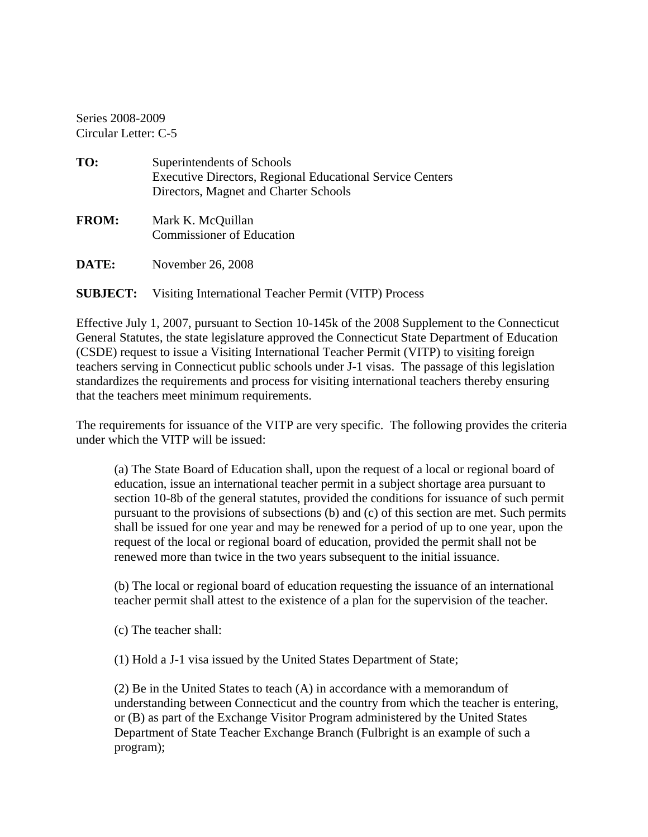Series 2008-2009 Circular Letter: C-5

| TO:          | Superintendents of Schools<br><b>Executive Directors, Regional Educational Service Centers</b><br>Directors, Magnet and Charter Schools |
|--------------|-----------------------------------------------------------------------------------------------------------------------------------------|
| <b>FROM:</b> | Mark K. McQuillan<br><b>Commissioner of Education</b>                                                                                   |
| DATE:        | November 26, 2008                                                                                                                       |

## **SUBJECT:** Visiting International Teacher Permit (VITP) Process

Effective July 1, 2007, pursuant to Section 10-145k of the 2008 Supplement to the Connecticut General Statutes, the state legislature approved the Connecticut State Department of Education (CSDE) request to issue a Visiting International Teacher Permit (VITP) to visiting foreign teachers serving in Connecticut public schools under J-1 visas. The passage of this legislation standardizes the requirements and process for visiting international teachers thereby ensuring that the teachers meet minimum requirements.

The requirements for issuance of the VITP are very specific. The following provides the criteria under which the VITP will be issued:

(a) The State Board of Education shall, upon the request of a local or regional board of education, issue an international teacher permit in a subject shortage area pursuant to section 10-8b of the general statutes, provided the conditions for issuance of such permit pursuant to the provisions of subsections (b) and (c) of this section are met. Such permits shall be issued for one year and may be renewed for a period of up to one year, upon the request of the local or regional board of education, provided the permit shall not be renewed more than twice in the two years subsequent to the initial issuance.

(b) The local or regional board of education requesting the issuance of an international teacher permit shall attest to the existence of a plan for the supervision of the teacher.

(c) The teacher shall:

(1) Hold a J-1 visa issued by the United States Department of State;

(2) Be in the United States to teach (A) in accordance with a memorandum of understanding between Connecticut and the country from which the teacher is entering, or (B) as part of the Exchange Visitor Program administered by the United States Department of State Teacher Exchange Branch (Fulbright is an example of such a program);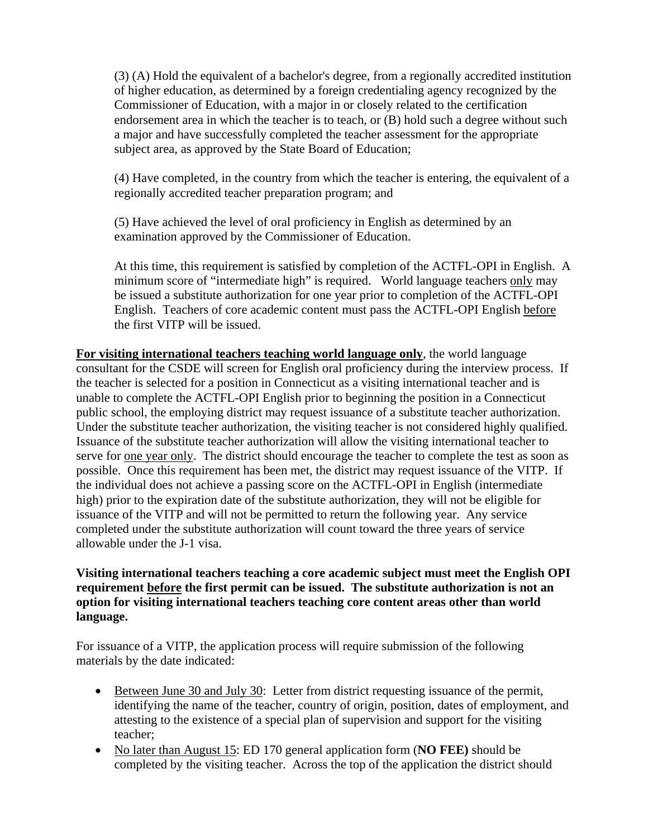(3) (A) Hold the equivalent of a bachelor's degree, from a regionally accredited institution of higher education, as determined by a foreign credentialing agency recognized by the Commissioner of Education, with a major in or closely related to the certification endorsement area in which the teacher is to teach, or (B) hold such a degree without such a major and have successfully completed the teacher assessment for the appropriate subject area, as approved by the State Board of Education;

(4) Have completed, in the country from which the teacher is entering, the equivalent of a regionally accredited teacher preparation program; and

(5) Have achieved the level of oral proficiency in English as determined by an examination approved by the Commissioner of Education.

At this time, this requirement is satisfied by completion of the ACTFL-OPI in English. A minimum score of "intermediate high" is required. World language teachers only may be issued a substitute authorization for one year prior to completion of the ACTFL-OPI English. Teachers of core academic content must pass the ACTFL-OPI English before the first VITP will be issued.

**For visiting international teachers teaching world language only**, the world language consultant for the CSDE will screen for English oral proficiency during the interview process. If the teacher is selected for a position in Connecticut as a visiting international teacher and is unable to complete the ACTFL-OPI English prior to beginning the position in a Connecticut public school, the employing district may request issuance of a substitute teacher authorization. Under the substitute teacher authorization, the visiting teacher is not considered highly qualified. Issuance of the substitute teacher authorization will allow the visiting international teacher to serve for one year only. The district should encourage the teacher to complete the test as soon as possible. Once this requirement has been met, the district may request issuance of the VITP. If the individual does not achieve a passing score on the ACTFL-OPI in English (intermediate high) prior to the expiration date of the substitute authorization, they will not be eligible for issuance of the VITP and will not be permitted to return the following year. Any service completed under the substitute authorization will count toward the three years of service allowable under the J-1 visa.

## **Visiting international teachers teaching a core academic subject must meet the English OPI requirement before the first permit can be issued. The substitute authorization is not an option for visiting international teachers teaching core content areas other than world language.**

For issuance of a VITP, the application process will require submission of the following materials by the date indicated:

- Between June 30 and July 30: Letter from district requesting issuance of the permit, identifying the name of the teacher, country of origin, position, dates of employment, and attesting to the existence of a special plan of supervision and support for the visiting teacher;
- No later than August 15: ED 170 general application form (**NO FEE)** should be completed by the visiting teacher. Across the top of the application the district should